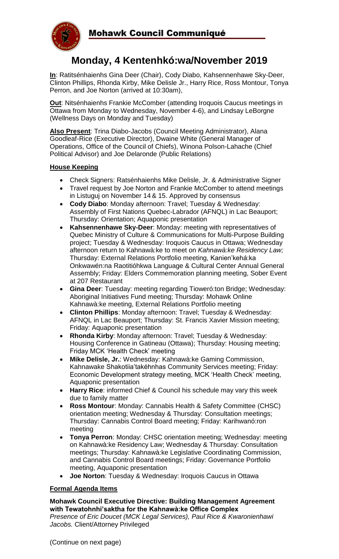

# **Monday, 4 Kentenhkó:wa/November 2019**

**In**: Ratitsénhaienhs Gina Deer (Chair), Cody Diabo, Kahsennenhawe Sky-Deer, Clinton Phillips, Rhonda Kirby, Mike Delisle Jr., Harry Rice, Ross Montour, Tonya Perron, and Joe Norton (arrived at 10:30am),

**Out**: Nitsénhaienhs Frankie McComber (attending Iroquois Caucus meetings in Ottawa from Monday to Wednesday, November 4-6), and Lindsay LeBorgne (Wellness Days on Monday and Tuesday)

**Also Present**: Trina Diabo-Jacobs (Council Meeting Administrator), Alana Goodleaf-Rice (Executive Director), Dwaine White (General Manager of Operations, Office of the Council of Chiefs), Winona Polson-Lahache (Chief Political Advisor) and Joe Delaronde (Public Relations)

# **House Keeping**

- Check Signers: Ratsénhaienhs Mike Delisle, Jr. & Administrative Signer
- Travel request by Joe Norton and Frankie McComber to attend meetings in Listuguj on November 14 & 15. Approved by consensus
- **Cody Diabo**: Monday afternoon: Travel; Tuesday & Wednesday: Assembly of First Nations Quebec-Labrador (AFNQL) in Lac Beauport; Thursday: Orientation; Aquaponic presentation
- **Kahsennenhawe Sky-Deer**: Monday: meeting with representatives of Quebec Ministry of Culture & Communications for Multi-Purpose Building project; Tuesday & Wednesday: Iroquois Caucus in Ottawa; Wednesday afternoon return to Kahnawà:ke to meet on *Kahnawà:ke Residency Law;*  Thursday: External Relations Portfolio meeting, Kanien'kehá:ka Onkwawén:na Raotitióhkwa Language & Cultural Center Annual General Assembly; Friday: Elders Commemoration planning meeting, Sober Event at 207 Restaurant
- **Gina Deer**: Tuesday: meeting regarding Tioweró:ton Bridge; Wednesday: Aboriginal Initiatives Fund meeting; Thursday: Mohawk Online Kahnawà:ke meeting, External Relations Portfolio meeting
- **Clinton Phillips**: Monday afternoon: Travel; Tuesday & Wednesday: AFNQL in Lac Beauport; Thursday: St. Francis Xavier Mission meeting; Friday: Aquaponic presentation
- **Rhonda Kirby**: Monday afternoon: Travel; Tuesday & Wednesday: Housing Conference in Gatineau (Ottawa); Thursday: Housing meeting; Friday MCK 'Health Check' meeting
- **Mike Delisle, Jr.**: Wednesday: Kahnawà:ke Gaming Commission, Kahnawake Shakotiia'takéhnhas Community Services meeting; Friday: Economic Development strategy meeting, MCK 'Health Check' meeting, Aquaponic presentation
- **Harry Rice**: informed Chief & Council his schedule may vary this week due to family matter
- **Ross Montour**: Monday: Cannabis Health & Safety Committee (CHSC) orientation meeting; Wednesday & Thursday: Consultation meetings; Thursday: Cannabis Control Board meeting; Friday: Karihwanó:ron meeting
- **Tonya Perron**: Monday: CHSC orientation meeting; Wednesday: meeting on Kahnawà:ke Residency Law; Wednesday & Thursday: Consultation meetings; Thursday: Kahnawà:ke Legislative Coordinating Commission, and Cannabis Control Board meetings; Friday: Governance Portfolio meeting, Aquaponic presentation
- **Joe Norton**: Tuesday & Wednesday: Iroquois Caucus in Ottawa

### **Formal Agenda Items**

### **Mohawk Council Executive Directive: Building Management Agreement with Tewatohnhi'saktha for the Kahnawà:ke Office Complex**

*Presence of Eric Doucet (MCK Legal Services), Paul Rice & Kwaronienhawi Jacobs.* Client/Attorney Privileged